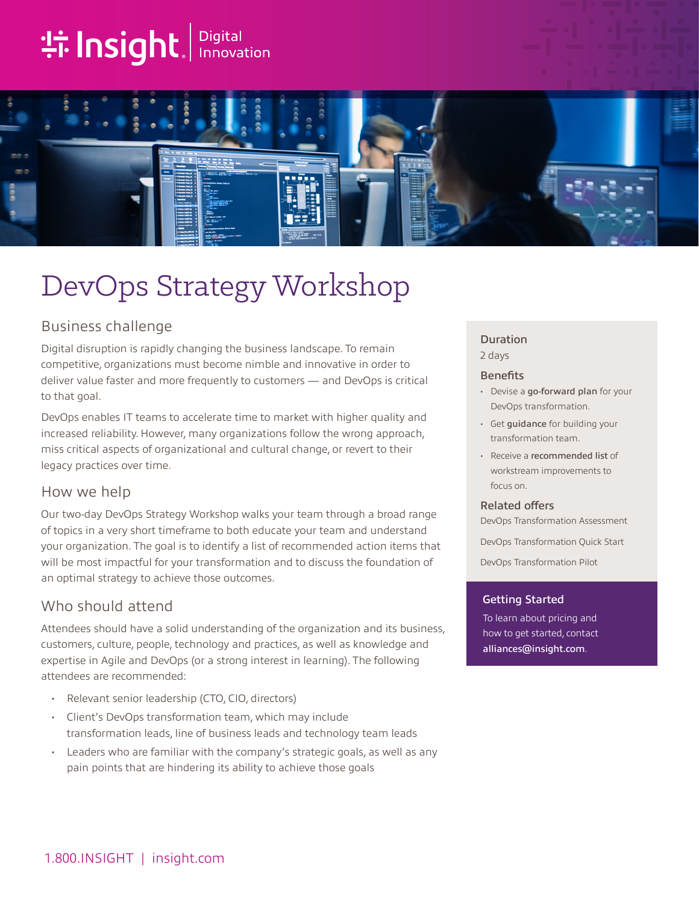# **the Insight**. Innovation



## DevOps Strategy Workshop

## Business challenge

Digital disruption is rapidly changing the business landscape. To remain competitive, organizations must become nimble and innovative in order to deliver value faster and more frequently to customers — and DevOps is critical to that goal.

DevOps enables IT teams to accelerate time to market with higher quality and increased reliability. However, many organizations follow the wrong approach, miss critical aspects of organizational and cultural change, or revert to their legacy practices over time.

### How we help

Our two-day DevOps Strategy Workshop walks your team through a broad range of topics in a very short timeframe to both educate your team and understand your organization. The goal is to identify a list of recommended action items that will be most impactful for your transformation and to discuss the foundation of an optimal strategy to achieve those outcomes.

## Who should attend

Attendees should have a solid understanding of the organization and its business, customers, culture, people, technology and practices, as well as knowledge and expertise in Agile and DevOps (or a strong interest in learning). The following attendees are recommended:

- Relevant senior leadership (CTO, CIO, directors)
- Client's DevOps transformation team, which may include transformation leads, line of business leads and technology team leads
- Leaders who are familiar with the company's strategic goals, as well as any pain points that are hindering its ability to achieve those goals

## Duration

2 days

#### **Benefits**

- Devise a go-forward plan for your DevOps transformation.
- Get guidance for building your transformation team.
- Receive a recommended list of workstream improvements to focus on.

#### Related offers

DevOps Transformation Assessment

DevOps Transformation Quick Start

DevOps Transformation Pilot

#### Getting Started

To learn about pricing and how to get started, contact [alliances@insight.com](mailto:alliances@insight.com).